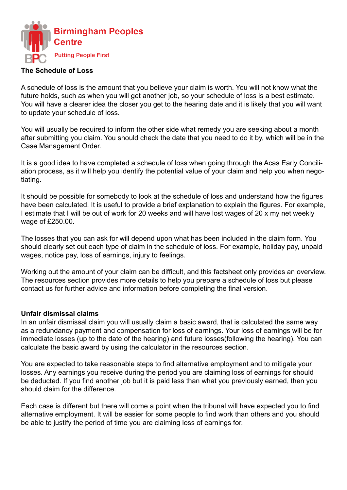

### **The Schedule of Loss**

A schedule of loss is the amount that you believe your claim is worth. You will not know what the future holds, such as when you will get another job, so your schedule of loss is a best estimate. You will have a clearer idea the closer you get to the hearing date and it is likely that you will want to update your schedule of loss.

You will usually be required to inform the other side what remedy you are seeking about a month after submitting you claim. You should check the date that you need to do it by, which will be in the Case Management Order.

It is a good idea to have completed a schedule of loss when going through the Acas Early Conciliation process, as it will help you identify the potential value of your claim and help you when negotiating.

It should be possible for somebody to look at the schedule of loss and understand how the figures have been calculated. It is useful to provide a brief explanation to explain the figures. For example, I estimate that I will be out of work for 20 weeks and will have lost wages of 20 x my net weekly wage of £250.00.

The losses that you can ask for will depend upon what has been included in the claim form. You should clearly set out each type of claim in the schedule of loss. For example, holiday pay, unpaid wages, notice pay, loss of earnings, injury to feelings.

Working out the amount of your claim can be difficult, and this factsheet only provides an overview. The resources section provides more details to help you prepare a schedule of loss but please contact us for further advice and information before completing the final version.

### **Unfair dismissal claims**

In an unfair dismissal claim you will usually claim a basic award, that is calculated the same way as a redundancy payment and compensation for loss of earnings. Your loss of earnings will be for immediate losses (up to the date of the hearing) and future losses(following the hearing). You can calculate the basic award by using the calculator in the resources section.

You are expected to take reasonable steps to find alternative employment and to mitigate your losses. Any earnings you receive during the period you are claiming loss of earnings for should be deducted. If you find another job but it is paid less than what you previously earned, then you should claim for the difference.

Each case is different but there will come a point when the tribunal will have expected you to find alternative employment. It will be easier for some people to find work than others and you should be able to justify the period of time you are claiming loss of earnings for.